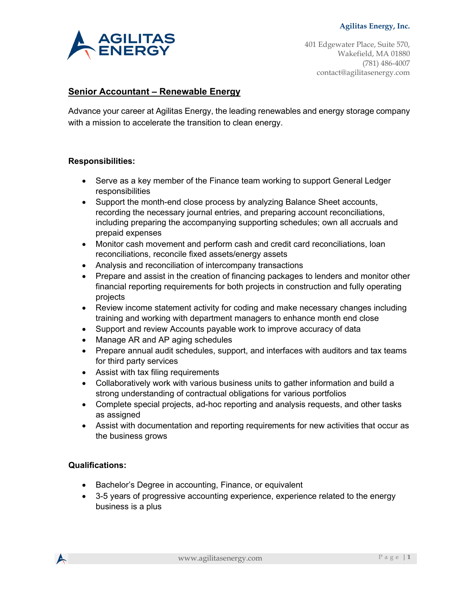

401 Edgewater Place, Suite 570, Wakefield, MA 01880 (781) 486-4007 contact@agilitasenergy.com

# **Senior Accountant – Renewable Energy**

Advance your career at Agilitas Energy, the leading renewables and energy storage company with a mission to accelerate the transition to clean energy.

### **Responsibilities:**

- Serve as a key member of the Finance team working to support General Ledger responsibilities
- Support the month-end close process by analyzing Balance Sheet accounts, recording the necessary journal entries, and preparing account reconciliations, including preparing the accompanying supporting schedules; own all accruals and prepaid expenses
- Monitor cash movement and perform cash and credit card reconciliations, loan reconciliations, reconcile fixed assets/energy assets
- Analysis and reconciliation of intercompany transactions
- Prepare and assist in the creation of financing packages to lenders and monitor other financial reporting requirements for both projects in construction and fully operating projects
- Review income statement activity for coding and make necessary changes including training and working with department managers to enhance month end close
- Support and review Accounts payable work to improve accuracy of data
- Manage AR and AP aging schedules
- Prepare annual audit schedules, support, and interfaces with auditors and tax teams for third party services
- Assist with tax filing requirements
- Collaboratively work with various business units to gather information and build a strong understanding of contractual obligations for various portfolios
- Complete special projects, ad-hoc reporting and analysis requests, and other tasks as assigned
- Assist with documentation and reporting requirements for new activities that occur as the business grows

### **Qualifications:**

- Bachelor's Degree in accounting, Finance, or equivalent
- 3-5 years of progressive accounting experience, experience related to the energy business is a plus